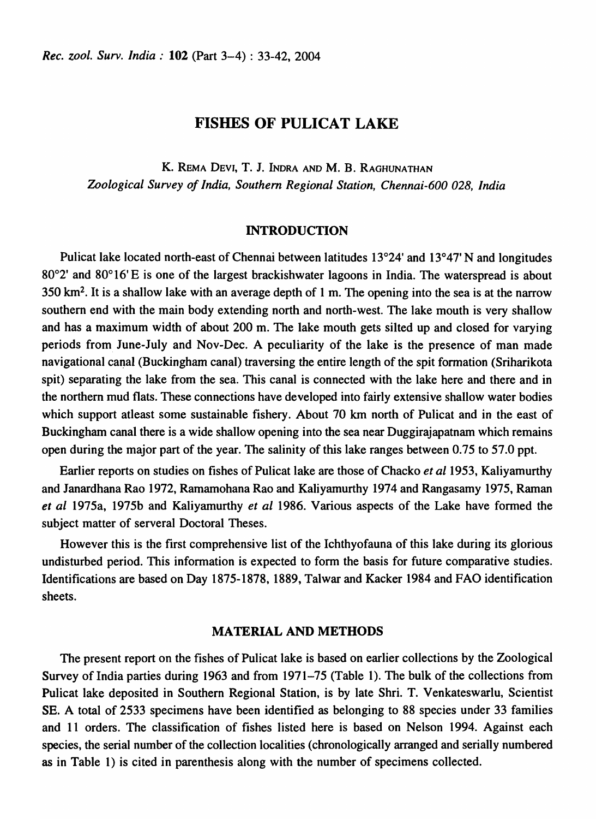# FISHES OF PULICAT LAKE

K. REMA DEVI, T. J. INDRA AND M. B. RAGHUNATHAN *Zoological Survey of India, Southern Regional Station, Chennai-600 028, India* 

## INTRODUCTION

Pulicat lake located north-east of Chennai between latitudes 13°24' and 13°47' N and longitudes 80°2' and 80° 16' E is one of the largest brackishwater lagoons in India. The waterspread is about 350  $km<sup>2</sup>$ . It is a shallow lake with an average depth of 1 m. The opening into the sea is at the narrow southern end with the main body extending north and north-west. The lake mouth is very shallow and has a maximum width of about 200 m. The lake mouth gets silted up and closed for varying periods from June-July and Nov-Dec. A peculiarity of the lake is the presence of man made navigational canal (Buckingham canal) traversing the entire length of the spit formation (Sriharikota spit) separating the lake from the sea. This canal is connected with the lake here and there and in the northern mud flats. These connections have developed into fairly extensive shallow water bodies which support at least some sustainable fishery. About 70 km north of Pulicat and in the east of Buckingham canal there is a wide shallow opening into the sea near Duggirajapatnam which remains open during the major part of the year. The salinity of this lake ranges between 0.75 to 57.0 ppt.

Earlier reports on studies on fishes of Pulicat lake are those of Chacko *et a11953,* Kaliyamurthy and lanardhana Rao 1972, Ramamohana Rao and Kaliyamurthy 1974 and Rangasamy 1975, Raman *et al* 1975a, 1975b and Kaliyamurthy *et al* 1986. Various aspects of the Lake have formed the subject matter of serveral Doctoral Theses.

However this is the first comprehensive list of the Ichthyofauna of this lake during its glorious undisturbed period. This information is expected to form the basis for future comparative studies. Identifications are based on Day 1875-1878, 1889, Talwar and Kacker 1984 and FAO identification sheets.

## MATERIAL AND METHODS

The present report on the fishes of Pulicat lake is based on earlier collections by the Zoological Survey of India parties during 1963 and from 1971–75 (Table 1). The bulk of the collections from Pulicat lake deposited in Southern Regional Station, is by late Shri. T. Venkateswarlu, Scientist SE. A total of 2533 specimens have been identified as belonging to 88 species under 33 families and 11 orders. The classification of fishes listed here is based on Nelson 1994. Against each species, the serial number of the collection localities (chronologically arranged and serially numbered as in Table 1) is cited in parenthesis along with the number of specimens collected.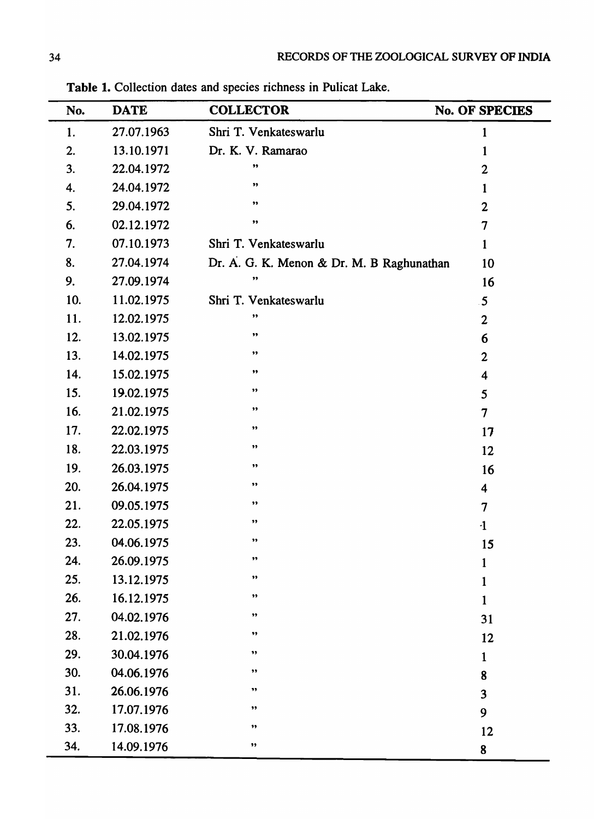| No. | <b>DATE</b> | <b>COLLECTOR</b>                          | No. OF SPECIES          |
|-----|-------------|-------------------------------------------|-------------------------|
| 1.  | 27.07.1963  | Shri T. Venkateswarlu                     | 1                       |
| 2.  | 13.10.1971  | Dr. K. V. Ramarao                         | $\mathbf 1$             |
| 3.  | 22.04.1972  | ,,                                        | $\overline{2}$          |
| 4.  | 24.04.1972  | ,,                                        | 1                       |
| 5.  | 29.04.1972  | ,,                                        | $\boldsymbol{2}$        |
| 6.  | 02.12.1972  | $\pmb{\mathfrak{z}}\pmb{\mathfrak{z}}$    | $\overline{7}$          |
| 7.  | 07.10.1973  | Shri T. Venkateswarlu                     | 1                       |
| 8.  | 27.04.1974  | Dr. A. G. K. Menon & Dr. M. B Raghunathan | 10                      |
| 9.  | 27.09.1974  | ,,                                        | 16                      |
| 10. | 11.02.1975  | Shri T. Venkateswarlu                     | $5\overline{5}$         |
| 11. | 12.02.1975  | ,,                                        | $\overline{2}$          |
| 12. | 13.02.1975  | ,,                                        | 6                       |
| 13. | 14.02.1975  | ,,                                        | $\overline{2}$          |
| 14. | 15.02.1975  | ,,                                        | $\overline{\mathbf{4}}$ |
| 15. | 19.02.1975  | ,,                                        | 5                       |
| 16. | 21.02.1975  | ,,                                        | $\overline{7}$          |
| 17. | 22.02.1975  | ,,                                        | 17                      |
| 18. | 22.03.1975  | $\pmb{\mathfrak{H}}$                      | 12                      |
| 19. | 26.03.1975  | ,,                                        | 16                      |
| 20. | 26.04.1975  | ,,                                        | 4                       |
| 21. | 09.05.1975  | ,,                                        | 7                       |
| 22. | 22.05.1975  | ,,                                        | $\cdot$ 1               |
| 23. | 04.06.1975  | $\bullet\bullet$                          | 15                      |
| 24. | 26.09.1975  | ,,                                        | 1                       |
| 25. | 13.12.1975  | $\pmb{\mathfrak{H}}$                      | $\mathbf 1$             |
| 26. | 16.12.1975  | ,,                                        | $\mathbf{1}$            |
| 27. | 04.02.1976  | ,,                                        | 31                      |
| 28. | 21.02.1976  | ,,                                        | 12                      |
| 29. | 30.04.1976  | ,,                                        | $\mathbf{1}$            |
| 30. | 04.06.1976  | ,,                                        | 8                       |
| 31. | 26.06.1976  | ,,                                        | $\overline{\mathbf{3}}$ |
| 32. | 17.07.1976  | ,,                                        | 9                       |
| 33. | 17.08.1976  | ,,                                        | 12                      |
| 34. | 14.09.1976  | ,,                                        | 8                       |

Table 1. Collection dates and species richness in Pulicat Lake.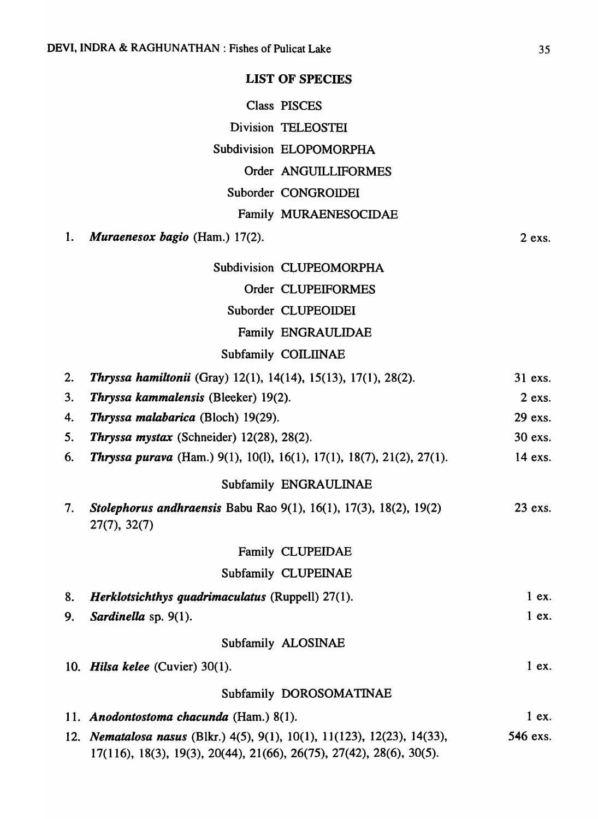# LIST OF SPECIES

|    |                                                                                                                                                                             | Class PISCES             |          |
|----|-----------------------------------------------------------------------------------------------------------------------------------------------------------------------------|--------------------------|----------|
|    |                                                                                                                                                                             | Division TELEOSTEI       |          |
|    |                                                                                                                                                                             | Subdivision ELOPOMORPHA  |          |
|    |                                                                                                                                                                             | Order ANGUILLIFORMES     |          |
|    |                                                                                                                                                                             | Suborder CONGROIDEI      |          |
|    |                                                                                                                                                                             | Family MURAENESOCIDAE    |          |
| 1. | <b>Muraenesox bagio</b> (Ham.) $17(2)$ .                                                                                                                                    |                          | $2$ exs. |
|    |                                                                                                                                                                             | Subdivision CLUPEOMORPHA |          |
|    |                                                                                                                                                                             | Order CLUPEIFORMES       |          |
|    |                                                                                                                                                                             | Suborder CLUPEOIDEI      |          |
|    |                                                                                                                                                                             | Family ENGRAULIDAE       |          |
|    |                                                                                                                                                                             | Subfamily COILIINAE      |          |
| 2. | Thryssa hamiltonii (Gray) 12(1), 14(14), 15(13), 17(1), 28(2).                                                                                                              |                          | 31 exs.  |
| 3. | <b>Thryssa kammalensis (Bleeker) 19(2).</b>                                                                                                                                 |                          | $2$ exs. |
| 4. | Thryssa malabarica (Bloch) 19(29).                                                                                                                                          |                          | 29 exs.  |
| 5. | Thryssa mystax (Schneider) 12(28), 28(2).                                                                                                                                   |                          | 30 exs.  |
| 6. | <b>Thryssa purava</b> (Ham.) 9(1), 10(1), 16(1), 17(1), 18(7), 21(2), 27(1).                                                                                                |                          | 14 exs.  |
|    |                                                                                                                                                                             | Subfamily ENGRAULINAE    |          |
| 7. | Stolephorus andhraensis Babu Rao 9(1), 16(1), 17(3), 18(2), 19(2)<br>27(7), 32(7)                                                                                           |                          | 23 exs.  |
|    |                                                                                                                                                                             | Family CLUPEIDAE         |          |
|    |                                                                                                                                                                             | Subfamily CLUPEINAE      |          |
| 8. | Herklotsichthys quadrimaculatus (Ruppell) 27(1).                                                                                                                            |                          | 1ex.     |
| 9. | Sardinella sp. 9(1).                                                                                                                                                        |                          | 1ex.     |
|    |                                                                                                                                                                             | Subfamily ALOSINAE       |          |
|    | 10. Hilsa kelee (Cuvier) $30(1)$ .                                                                                                                                          |                          | $1$ ex.  |
|    |                                                                                                                                                                             | Subfamily DOROSOMATINAE  |          |
|    | 11. Anodontostoma chacunda (Ham.) 8(1).                                                                                                                                     |                          | 1ex.     |
|    | 12. Nematalosa nasus (Blkr.) 4(5), 9(1), 10(1), 11(123), 12(23), 14(33),<br>$17(116)$ , $18(3)$ , $19(3)$ , $20(44)$ , $21(66)$ , $26(75)$ , $27(42)$ , $28(6)$ , $30(5)$ . |                          | 546 exs. |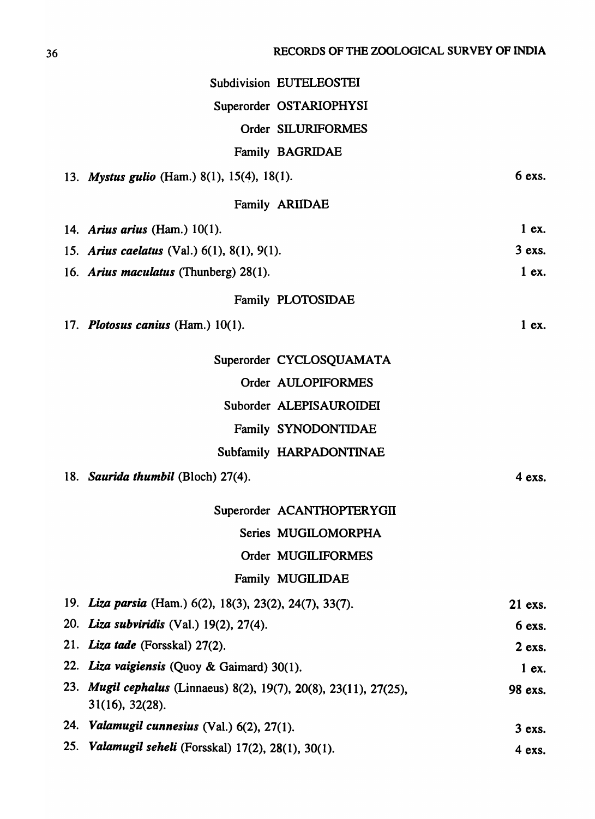|     |                                                                                      | <b>Subdivision EUTELEOSTEI</b> |          |
|-----|--------------------------------------------------------------------------------------|--------------------------------|----------|
|     |                                                                                      | Superorder OSTARIOPHYSI        |          |
|     |                                                                                      | Order SILURIFORMES             |          |
|     |                                                                                      | <b>Family BAGRIDAE</b>         |          |
|     |                                                                                      |                                | 6 exs.   |
|     | 13. Mystus gulio (Ham.) 8(1), 15(4), 18(1).                                          |                                |          |
|     |                                                                                      | <b>Family ARIIDAE</b>          |          |
|     | 14. Arius arius (Ham.) $10(1)$ .                                                     |                                | $1$ ex.  |
|     | 15. Arius caelatus (Val.) $6(1)$ , $8(1)$ , $9(1)$ .                                 |                                | $3$ exs. |
|     | 16. Arius maculatus (Thunberg) 28(1).                                                |                                | $1$ ex.  |
|     |                                                                                      | Family PLOTOSIDAE              |          |
|     | 17. Plotosus canius (Ham.) $10(1)$ .                                                 |                                | $1$ ex.  |
|     |                                                                                      | Superorder CYCLOSQUAMATA       |          |
|     |                                                                                      | Order AULOPIFORMES             |          |
|     |                                                                                      | Suborder ALEPISAUROIDEI        |          |
|     |                                                                                      | Family SYNODONTIDAE            |          |
|     |                                                                                      | Subfamily HARPADONTINAE        |          |
|     | 18. Saurida thumbil (Bloch) 27(4).                                                   |                                | 4 exs.   |
|     |                                                                                      | Superorder ACANTHOPTERYGII     |          |
|     |                                                                                      | Series MUGILOMORPHA            |          |
|     |                                                                                      | Order MUGILIFORMES             |          |
|     |                                                                                      | Family MUGILIDAE               |          |
|     | 19. Liza parsia (Ham.) 6(2), 18(3), 23(2), 24(7), 33(7).                             |                                | 21 exs.  |
|     | 20. Liza subviridis (Val.) 19(2), 27(4).                                             |                                | 6 exs.   |
|     | 21. Liza tade (Forsskal) 27(2).                                                      |                                | 2 exs.   |
|     | 22. Liza vaigiensis (Quoy & Gaimard) 30(1).                                          |                                | $1$ ex.  |
|     | 23. Mugil cephalus (Linnaeus) 8(2), 19(7), 20(8), 23(11), 27(25),<br>31(16), 32(28). |                                | 98 exs.  |
|     | 24. Valamugil cunnesius (Val.) 6(2), 27(1).                                          |                                | $3$ exs. |
| 25. | Valamugil seheli (Forsskal) 17(2), 28(1), 30(1).                                     |                                | 4 exs.   |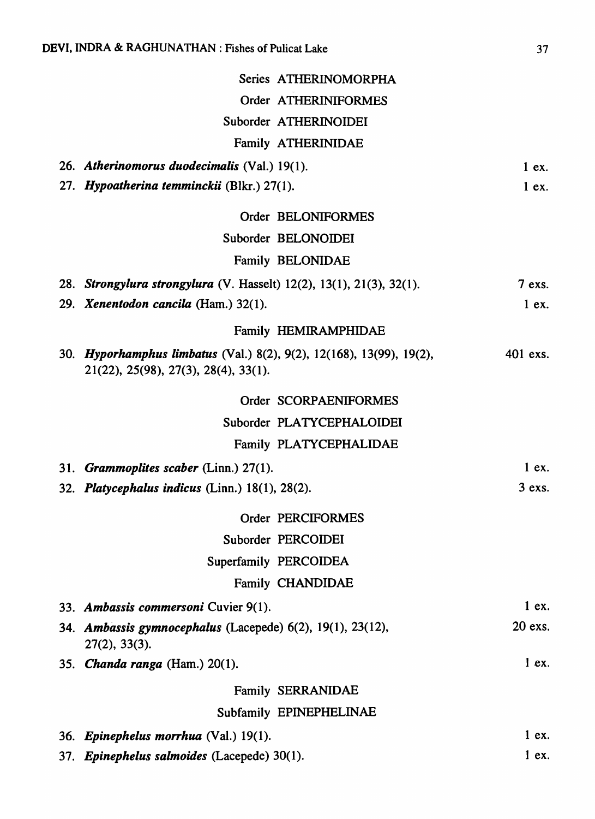| Series ATHERINOMORPHA                                                                                        |           |
|--------------------------------------------------------------------------------------------------------------|-----------|
| Order ATHERINIFORMES                                                                                         |           |
| Suborder ATHERINOIDEI                                                                                        |           |
| Family ATHERINIDAE                                                                                           |           |
| 26. Atherinomorus duodecimalis (Val.) 19(1).                                                                 | $1$ ex.   |
| 27. Hypoatherina temminckii (Blkr.) 27(1).                                                                   | $1$ ex.   |
| Order BELONIFORMES                                                                                           |           |
| Suborder BELONOIDEI                                                                                          |           |
| Family BELONIDAE                                                                                             |           |
| 28. Strongylura strongylura (V. Hasselt) 12(2), 13(1), 21(3), 32(1).                                         | $7$ exs.  |
| 29. Xenentodon cancila (Ham.) 32(1).                                                                         | $1$ ex.   |
| Family HEMIRAMPHIDAE                                                                                         |           |
| 30. Hyporhamphus limbatus (Val.) 8(2), 9(2), 12(168), 13(99), 19(2),<br>21(22), 25(98), 27(3), 28(4), 33(1). | 401 exs.  |
| Order SCORPAENIFORMES                                                                                        |           |
| Suborder PLATYCEPHALOIDEI                                                                                    |           |
| Family PLATYCEPHALIDAE                                                                                       |           |
| 31. Grammoplites scaber (Linn.) $27(1)$ .                                                                    | 1ex.      |
| 32. Platycephalus indicus (Linn.) $18(1)$ , $28(2)$ .                                                        | $3$ exs.  |
| Order PERCIFORMES                                                                                            |           |
| Suborder PERCOIDEI                                                                                           |           |
| Superfamily PERCOIDEA                                                                                        |           |
| <b>Family CHANDIDAE</b>                                                                                      |           |
| 33. Ambassis commersoni Cuvier 9(1).                                                                         | 1ex.      |
| 34. Ambassis gymnocephalus (Lacepede) $6(2)$ , 19(1), 23(12),<br>27(2), 33(3).                               | $20$ exs. |
| 35. <i>Chanda ranga</i> (Ham.) 20(1).                                                                        | $1$ ex.   |
| <b>Family SERRANIDAE</b>                                                                                     |           |
| Subfamily EPINEPHELINAE                                                                                      |           |
| 36. Epinephelus morrhua (Val.) 19(1).                                                                        | $1$ ex.   |
| 37. Epinephelus salmoides (Lacepede) 30(1).                                                                  | 1ex.      |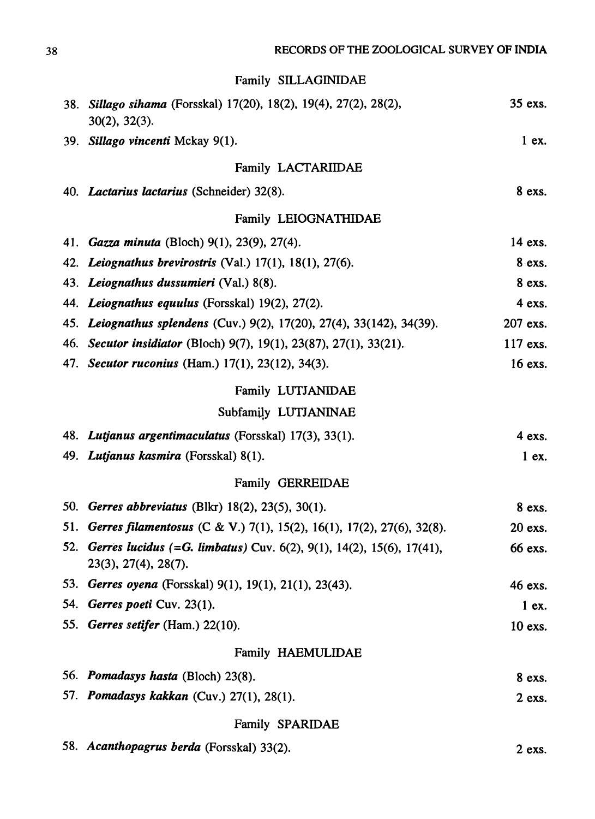Family SILLAGINIDAE

| <b>38.</b> | Sillago sihama (Forsskal) 17(20), 18(2), 19(4), 27(2), 28(2),<br>$30(2)$ , $32(3)$ .         | 35 exs.  |
|------------|----------------------------------------------------------------------------------------------|----------|
|            | 39. Sillago vincenti Mckay 9(1).                                                             | $1$ ex.  |
|            | Family LACTARIIDAE                                                                           |          |
|            | 40. Lactarius lactarius (Schneider) 32(8).                                                   | 8 exs.   |
|            | Family LEIOGNATHIDAE                                                                         |          |
|            | 41. Gazza minuta (Bloch) 9(1), 23(9), 27(4).                                                 | 14 exs.  |
|            | 42. Leiognathus brevirostris (Val.) 17(1), 18(1), 27(6).                                     | 8 exs.   |
|            | 43. Leiognathus dussumieri (Val.) 8(8).                                                      | 8 exs.   |
|            | 44. Leiognathus equulus (Forsskal) 19(2), 27(2).                                             | 4 exs.   |
|            | 45. Leiognathus splendens (Cuv.) 9(2), 17(20), 27(4), 33(142), 34(39).                       | 207 exs. |
|            | 46. Secutor insidiator (Bloch) 9(7), 19(1), 23(87), 27(1), 33(21).                           | 117 exs. |
|            | 47. Secutor ruconius (Ham.) 17(1), 23(12), 34(3).                                            | 16 exs.  |
|            | Family LUTJANIDAE                                                                            |          |
|            | Subfamily LUTJANINAE                                                                         |          |
|            | 48. Lutjanus argentimaculatus (Forsskal) 17(3), 33(1).                                       | 4 exs.   |
|            | 49. Lutjanus kasmira (Forsskal) 8(1).                                                        | $1$ ex.  |
|            | <b>Family GERREIDAE</b>                                                                      |          |
|            | 50. Gerres abbreviatus (Blkr) 18(2), 23(5), 30(1).                                           | 8 exs.   |
| 51.        | Gerres filamentosus (C & V.) 7(1), 15(2), 16(1), 17(2), 27(6), 32(8).                        | 20 exs.  |
| 52.        | Gerres lucidus (=G. limbatus) Cuv. 6(2), 9(1), 14(2), 15(6), 17(41),<br>23(3), 27(4), 28(7). | 66 exs.  |
| 53.        | Gerres oyena (Forsskal) 9(1), 19(1), 21(1), 23(43).                                          | 46 exs.  |
| 54.        | Gerres poeti Cuv. 23(1).                                                                     | $1$ ex.  |
|            | 55. Gerres setifer (Ham.) 22(10).                                                            | 10 exs.  |
|            | Family HAEMULIDAE                                                                            |          |
|            | 56. Pomadasys hasta (Bloch) 23(8).                                                           | 8 exs.   |
|            | 57. Pomadasys kakkan (Cuv.) 27(1), 28(1).                                                    | $2$ exs. |
|            | Family SPARIDAE                                                                              |          |
|            | 58. Acanthopagrus berda (Forsskal) 33(2).                                                    | $2$ exs. |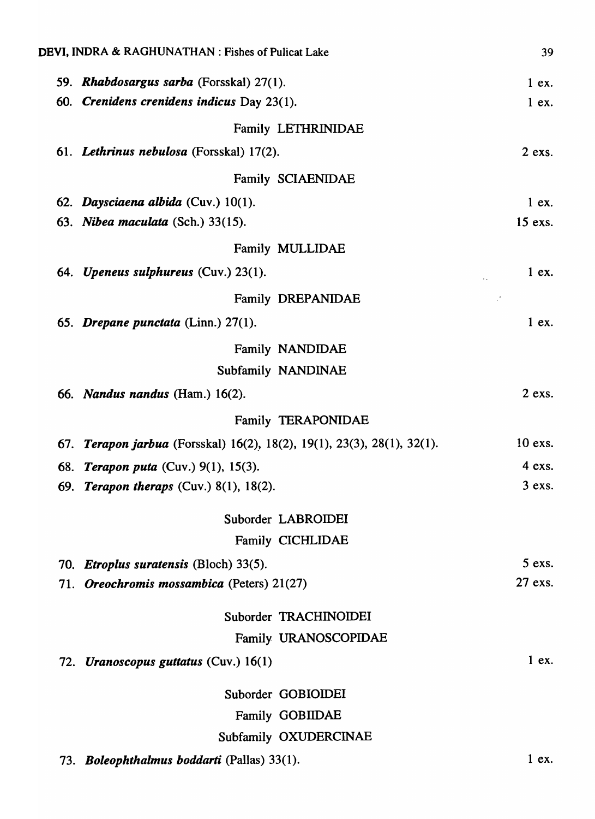| DEVI, INDRA & RAGHUNATHAN : Fishes of Pulicat Lake                      | 39       |
|-------------------------------------------------------------------------|----------|
| 59. Rhabdosargus sarba (Forsskal) 27(1).                                | 1ex.     |
| 60. Crenidens crenidens indicus Day 23(1).                              | $1$ ex.  |
| Family LETHRINIDAE                                                      |          |
| 61. Lethrinus nebulosa (Forsskal) 17(2).                                | $2$ exs. |
| Family SCIAENIDAE                                                       |          |
| 62. Daysciaena albida (Cuv.) 10(1).                                     | $1$ ex.  |
| 63. Nibea maculata (Sch.) 33(15).                                       | 15 exs.  |
| Family MULLIDAE                                                         |          |
| 64. Upeneus sulphureus (Cuv.) 23(1).                                    | $1$ ex.  |
| Family DREPANIDAE                                                       |          |
| 65. Drepane punctata (Linn.) 27(1).                                     | $1$ ex.  |
|                                                                         |          |
| Family NANDIDAE                                                         |          |
| Subfamily NANDINAE                                                      |          |
| 66. Nandus nandus (Ham.) 16(2).                                         | $2$ exs. |
| Family TERAPONIDAE                                                      |          |
| 67. Terapon jarbua (Forsskal) 16(2), 18(2), 19(1), 23(3), 28(1), 32(1). | 10 exs.  |
| 68. Terapon puta (Cuv.) 9(1), 15(3).                                    | 4 exs.   |
| 69. Terapon theraps (Cuv.) 8(1), 18(2).                                 | $3$ exs. |
| Suborder LABROIDEI                                                      |          |
| Family CICHLIDAE                                                        |          |
| 70. <i>Etroplus suratensis</i> (Bloch) 33(5).                           | $5$ exs. |
| 71. Oreochromis mossambica (Peters) 21(27)                              | 27 exs.  |
| Suborder TRACHINOIDEI                                                   |          |
| Family URANOSCOPIDAE                                                    |          |
| 72. Uranoscopus guttatus (Cuv.) 16(1)                                   | 1ex.     |
|                                                                         |          |
| Suborder GOBIOIDEI                                                      |          |
| <b>Family GOBIIDAE</b>                                                  |          |
| Subfamily OXUDERCINAE                                                   |          |
| 73. Boleophthalmus boddarti (Pallas) 33(1).                             | $1$ ex.  |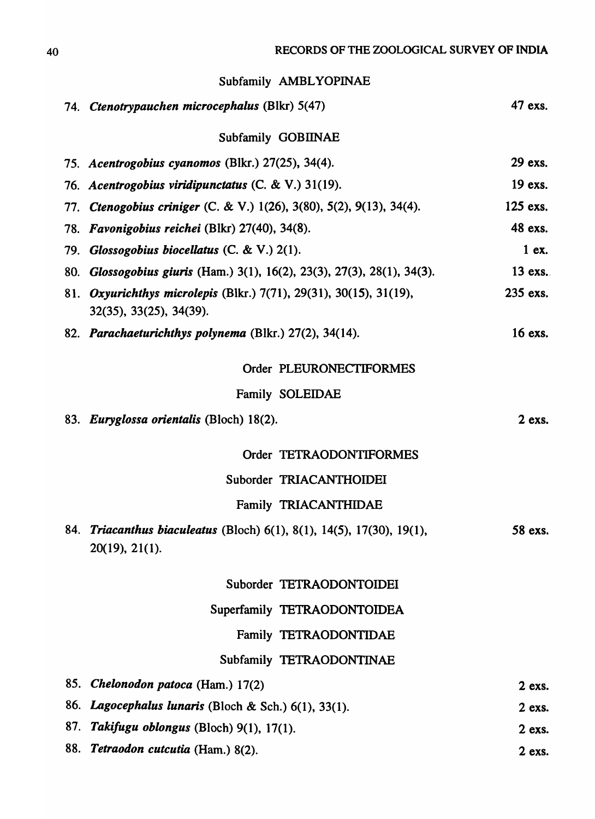|     | Subfamily AMBLYOPINAE                                                                                     |          |
|-----|-----------------------------------------------------------------------------------------------------------|----------|
|     | 74. Ctenotrypauchen microcephalus (Blkr) 5(47)                                                            | 47 exs.  |
|     | Subfamily GOBIINAE                                                                                        |          |
|     | 75. Acentrogobius cyanomos (Blkr.) 27(25), 34(4).                                                         | 29 exs.  |
|     | 76. Acentrogobius viridipunctatus (C. & V.) 31(19).                                                       | 19 exs.  |
|     | 77. Ctenogobius criniger (C. & V.) 1(26), 3(80), 5(2), 9(13), 34(4).                                      | 125 exs. |
|     | 78. Favonigobius reichei (Blkr) 27(40), 34(8).                                                            | 48 exs.  |
|     | 79. Glossogobius biocellatus $(C, \& V)$ 2(1).                                                            | $1$ ex.  |
| 80. | Glossogobius giuris (Ham.) 3(1), 16(2), 23(3), 27(3), 28(1), 34(3).                                       | 13 exs.  |
|     | 81. Oxyurichthys microlepis (Blkr.) 7(71), 29(31), 30(15), 31(19),<br>32(35), 33(25), 34(39).             | 235 exs. |
|     | 82. Parachaeturichthys polynema (Blkr.) 27(2), 34(14).                                                    | 16 exs.  |
|     | Order PLEURONECTIFORMES                                                                                   |          |
|     | Family SOLEIDAE                                                                                           |          |
|     | 83. Euryglossa orientalis (Bloch) 18(2).                                                                  | $2$ exs. |
|     | Order TETRAODONTIFORMES                                                                                   |          |
|     | Suborder TRIACANTHOIDEI                                                                                   |          |
|     | Family TRIACANTHIDAE                                                                                      |          |
| 84. | <i>Triacanthus biaculeatus</i> (Bloch) $6(1)$ , $8(1)$ , $14(5)$ , $17(30)$ , $19(1)$ ,<br>20(19), 21(1). | 58 exs.  |
|     | Suborder TETRAODONTOIDEI                                                                                  |          |
|     | Superfamily TETRAODONTOIDEA                                                                               |          |
|     | Family TETRAODONTIDAE                                                                                     |          |
|     | Subfamily TETRAODONTINAE                                                                                  |          |
| 85. | <i>Chelonodon patoca</i> (Ham.) 17(2)                                                                     | $2$ exs. |
| 86. | Lagocephalus lunaris (Bloch & Sch.) 6(1), 33(1).                                                          | $2$ exs. |
| 87. | Takifugu oblongus (Bloch) 9(1), 17(1).                                                                    | $2$ exs. |
| 88. | Tetraodon cutcutia (Ham.) 8(2).                                                                           | $2$ exs. |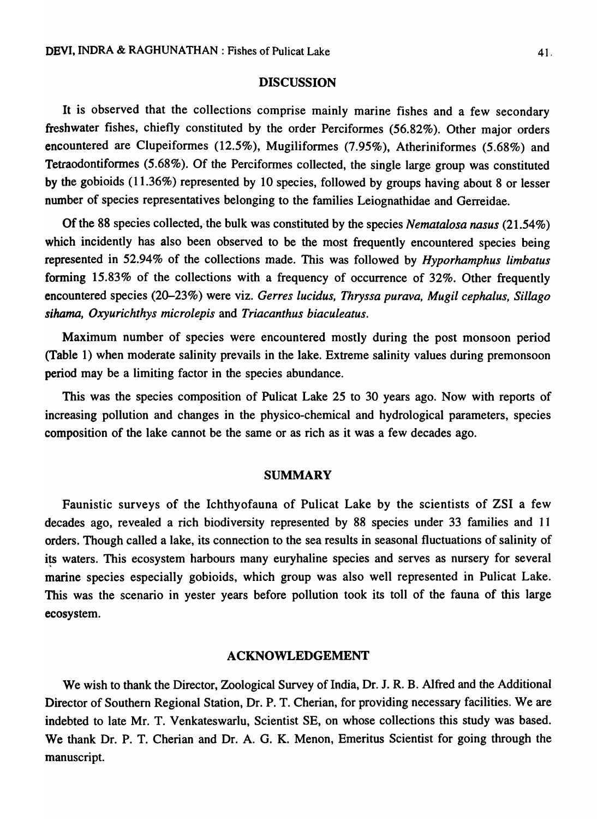### **DISCUSSION**

It is observed that the collections comprise mainly marine fishes and a few secondary freshwater fishes, chiefly constituted by the order Perciformes (56.82%). Other major orders encountered are Clupeiformes (12.5%), Mugiliformes (7.95%), Atheriniformes (5.68%) and Tetraodontiformes (5.68%). Of the Perciformes collected, the single large group was constituted by the gobioids (11.36%) represented by 10 species, followed by groups having about 8 or lesser number of species representatives belonging to the families Leiognathidae and Gerreidae.

Of the 88 species collected, the bulk was constituted by the species *Nematalosa nasus* (21.54%) which incidently has also been observed to be the most frequently encountered species being represented in 52.94% of the collections made. This was followed by *Hyporhamphus limbatus*  forming 15.83% of the collections with a frequency of occurrence of 32%. Other frequently encountered species (20-23%) were viz. *Gerres lucidus, Thryssa purava, Mugil cephalus, Sillago sihama, Oxyurichthys microlepis* and *Triacanthus biaculeatus.* 

Maximum number of species were encountered mostly during the post monsoon period (Table 1) when moderate salinity prevails in the lake. Extreme salinity values during premonsoon period may be a limiting factor in the species abundance.

This was the species composition of Pulicat Lake 25 to 30 years ago. Now with reports of increasing pollution and changes in the physico-chemical and hydrological parameters, species composition of the lake cannot be the same or as rich as it was a few decades ago.

#### SUMMARY

Faunistic surveys of the Ichthyofauna of Pulicat Lake by the scientists of ZSI a few decades ago, revealed a rich biodiversity represented by 88 species under 33 families and 11 orders. Though called a lake, its connection to the sea results in seasonal fluctuations of salinity of its waters. This ecosystem harbours many euryhaline species and serves as nursery for several marine species especially gobioids, which group was also well represented in Pulicat Lake. This was the scenario in yester years before pollution took its toll of the fauna of this large ecosystem.

### ACKNOWLEDGEMENT

We wish to thank the Director, Zoological Survey of India, Dr. J. R. B. Alfred and the Additional Director of Southern Regional Station, Dr. P. T. Cherian, for providing necessary facilities. We are indebted to late Mr. T. Venkateswarlu, Scientist SE, on whose collections this study was based. We thank Dr. P. T. Cherian and Dr. A. G. K. Menon, Emeritus Scientist for going through the manuscript.